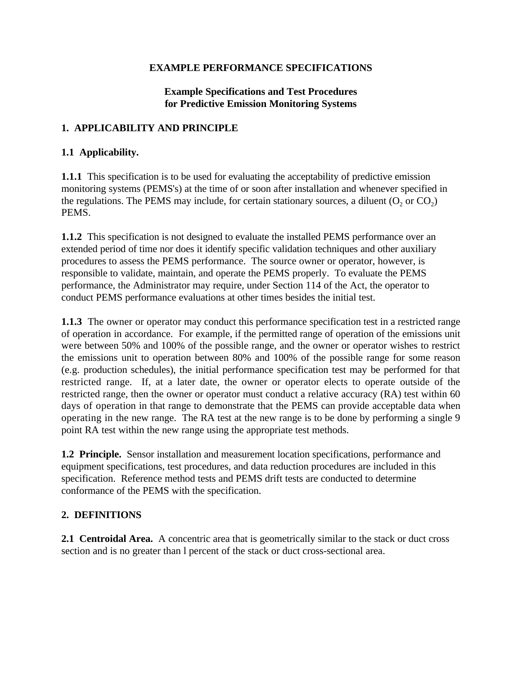#### **EXAMPLE PERFORMANCE SPECIFICATIONS**

# **Example Specifications and Test Procedures for Predictive Emission Monitoring Systems**

## **1. APPLICABILITY AND PRINCIPLE**

# **1.1 Applicability.**

**1.1.1** This specification is to be used for evaluating the acceptability of predictive emission monitoring systems (PEMS's) at the time of or soon after installation and whenever specified in the regulations. The PEMS may include, for certain stationary sources, a diluent  $(O_2 \text{ or } CO_2)$ PEMS.

**1.1.2** This specification is not designed to evaluate the installed PEMS performance over an extended period of time nor does it identify specific validation techniques and other auxiliary procedures to assess the PEMS performance. The source owner or operator, however, is responsible to validate, maintain, and operate the PEMS properly. To evaluate the PEMS performance, the Administrator may require, under Section 114 of the Act, the operator to conduct PEMS performance evaluations at other times besides the initial test.

**1.1.3** The owner or operator may conduct this performance specification test in a restricted range of operation in accordance. For example, if the permitted range of operation of the emissions unit were between 50% and 100% of the possible range, and the owner or operator wishes to restrict the emissions unit to operation between 80% and 100% of the possible range for some reason (e.g. production schedules), the initial performance specification test may be performed for that restricted range. If, at a later date, the owner or operator elects to operate outside of the restricted range, then the owner or operator must conduct a relative accuracy (RA) test within 60 days of operation in that range to demonstrate that the PEMS can provide acceptable data when operating in the new range. The RA test at the new range is to be done by performing a single 9 point RA test within the new range using the appropriate test methods.

**1.2 Principle.** Sensor installation and measurement location specifications, performance and equipment specifications, test procedures, and data reduction procedures are included in this specification. Reference method tests and PEMS drift tests are conducted to determine conformance of the PEMS with the specification.

# **2. DEFINITIONS**

**2.1 Centroidal Area.** A concentric area that is geometrically similar to the stack or duct cross section and is no greater than l percent of the stack or duct cross-sectional area.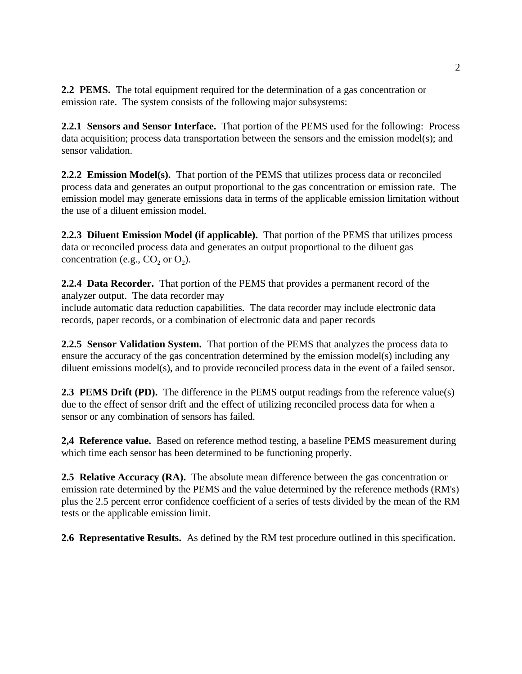**2.2 PEMS.** The total equipment required for the determination of a gas concentration or emission rate. The system consists of the following major subsystems:

**2.2.1 Sensors and Sensor Interface.** That portion of the PEMS used for the following: Process data acquisition; process data transportation between the sensors and the emission model(s); and sensor validation.

**2.2.2 Emission Model(s).** That portion of the PEMS that utilizes process data or reconciled process data and generates an output proportional to the gas concentration or emission rate. The emission model may generate emissions data in terms of the applicable emission limitation without the use of a diluent emission model.

**2.2.3 Diluent Emission Model (if applicable).** That portion of the PEMS that utilizes process data or reconciled process data and generates an output proportional to the diluent gas concentration (e.g.,  $CO<sub>2</sub>$  or  $O<sub>2</sub>$ ).

**2.2.4 Data Recorder.** That portion of the PEMS that provides a permanent record of the analyzer output. The data recorder may include automatic data reduction capabilities. The data recorder may include electronic data records, paper records, or a combination of electronic data and paper records

**2.2.5 Sensor Validation System.** That portion of the PEMS that analyzes the process data to ensure the accuracy of the gas concentration determined by the emission model(s) including any diluent emissions model(s), and to provide reconciled process data in the event of a failed sensor.

**2.3 PEMS Drift (PD).** The difference in the PEMS output readings from the reference value(s) due to the effect of sensor drift and the effect of utilizing reconciled process data for when a sensor or any combination of sensors has failed.

**2,4 Reference value.** Based on reference method testing, a baseline PEMS measurement during which time each sensor has been determined to be functioning properly.

**2.5 Relative Accuracy (RA).** The absolute mean difference between the gas concentration or emission rate determined by the PEMS and the value determined by the reference methods (RM's) plus the 2.5 percent error confidence coefficient of a series of tests divided by the mean of the RM tests or the applicable emission limit.

**2.6 Representative Results.** As defined by the RM test procedure outlined in this specification.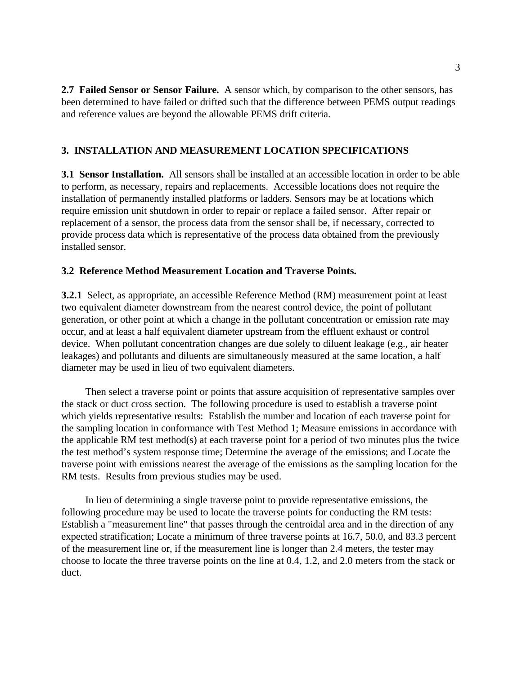**2.7 Failed Sensor or Sensor Failure.** A sensor which, by comparison to the other sensors, has been determined to have failed or drifted such that the difference between PEMS output readings and reference values are beyond the allowable PEMS drift criteria.

## **3. INSTALLATION AND MEASUREMENT LOCATION SPECIFICATIONS**

**3.1 Sensor Installation.** All sensors shall be installed at an accessible location in order to be able to perform, as necessary, repairs and replacements. Accessible locations does not require the installation of permanently installed platforms or ladders. Sensors may be at locations which require emission unit shutdown in order to repair or replace a failed sensor. After repair or replacement of a sensor, the process data from the sensor shall be, if necessary, corrected to provide process data which is representative of the process data obtained from the previously installed sensor.

#### **3.2 Reference Method Measurement Location and Traverse Points.**

**3.2.1** Select, as appropriate, an accessible Reference Method (RM) measurement point at least two equivalent diameter downstream from the nearest control device, the point of pollutant generation, or other point at which a change in the pollutant concentration or emission rate may occur, and at least a half equivalent diameter upstream from the effluent exhaust or control device. When pollutant concentration changes are due solely to diluent leakage (e.g., air heater leakages) and pollutants and diluents are simultaneously measured at the same location, a half diameter may be used in lieu of two equivalent diameters.

Then select a traverse point or points that assure acquisition of representative samples over the stack or duct cross section. The following procedure is used to establish a traverse point which yields representative results: Establish the number and location of each traverse point for the sampling location in conformance with Test Method 1; Measure emissions in accordance with the applicable RM test method(s) at each traverse point for a period of two minutes plus the twice the test method's system response time; Determine the average of the emissions; and Locate the traverse point with emissions nearest the average of the emissions as the sampling location for the RM tests. Results from previous studies may be used.

In lieu of determining a single traverse point to provide representative emissions, the following procedure may be used to locate the traverse points for conducting the RM tests: Establish a "measurement line" that passes through the centroidal area and in the direction of any expected stratification; Locate a minimum of three traverse points at 16.7, 50.0, and 83.3 percent of the measurement line or, if the measurement line is longer than 2.4 meters, the tester may choose to locate the three traverse points on the line at 0.4, 1.2, and 2.0 meters from the stack or duct.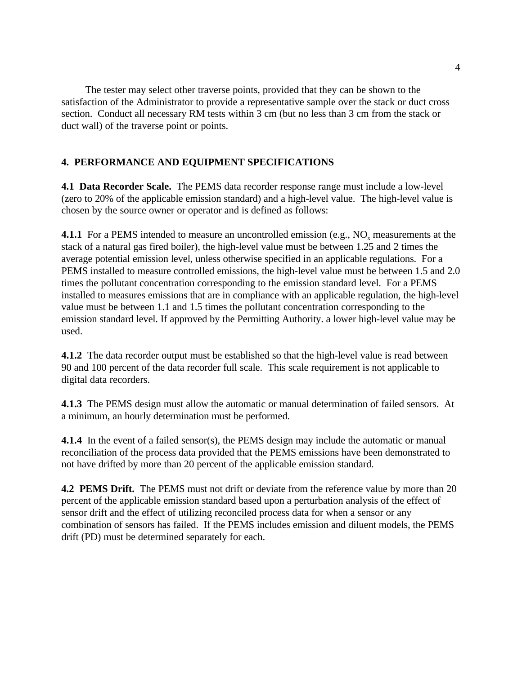The tester may select other traverse points, provided that they can be shown to the satisfaction of the Administrator to provide a representative sample over the stack or duct cross section. Conduct all necessary RM tests within 3 cm (but no less than 3 cm from the stack or duct wall) of the traverse point or points.

# **4. PERFORMANCE AND EQUIPMENT SPECIFICATIONS**

**4.1 Data Recorder Scale.** The PEMS data recorder response range must include a low-level (zero to 20% of the applicable emission standard) and a high-level value. The high-level value is chosen by the source owner or operator and is defined as follows:

**4.1.1** For a PEMS intended to measure an uncontrolled emission (e.g.,  $NO_x$  measurements at the stack of a natural gas fired boiler), the high-level value must be between 1.25 and 2 times the average potential emission level, unless otherwise specified in an applicable regulations. For a PEMS installed to measure controlled emissions, the high-level value must be between 1.5 and 2.0 times the pollutant concentration corresponding to the emission standard level. For a PEMS installed to measures emissions that are in compliance with an applicable regulation, the high-level value must be between 1.1 and 1.5 times the pollutant concentration corresponding to the emission standard level. If approved by the Permitting Authority. a lower high-level value may be used.

**4.1.2** The data recorder output must be established so that the high-level value is read between 90 and 100 percent of the data recorder full scale. This scale requirement is not applicable to digital data recorders.

**4.1.3** The PEMS design must allow the automatic or manual determination of failed sensors. At a minimum, an hourly determination must be performed.

**4.1.4** In the event of a failed sensor(s), the PEMS design may include the automatic or manual reconciliation of the process data provided that the PEMS emissions have been demonstrated to not have drifted by more than 20 percent of the applicable emission standard.

**4.2 PEMS Drift.** The PEMS must not drift or deviate from the reference value by more than 20 percent of the applicable emission standard based upon a perturbation analysis of the effect of sensor drift and the effect of utilizing reconciled process data for when a sensor or any combination of sensors has failed. If the PEMS includes emission and diluent models, the PEMS drift (PD) must be determined separately for each.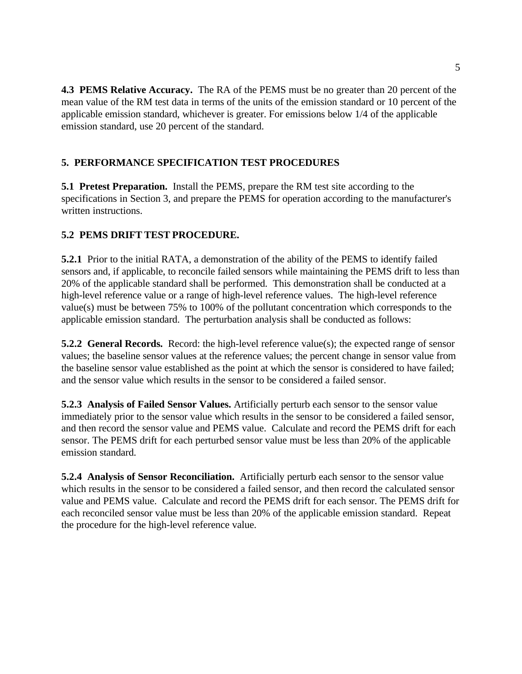**4.3 PEMS Relative Accuracy.** The RA of the PEMS must be no greater than 20 percent of the mean value of the RM test data in terms of the units of the emission standard or 10 percent of the applicable emission standard, whichever is greater. For emissions below 1/4 of the applicable emission standard, use 20 percent of the standard.

# **5. PERFORMANCE SPECIFICATION TEST PROCEDURES**

**5.1 Pretest Preparation.** Install the PEMS, prepare the RM test site according to the specifications in Section 3, and prepare the PEMS for operation according to the manufacturer's written instructions.

# **5.2 PEMS DRIFT TEST PROCEDURE.**

**5.2.1** Prior to the initial RATA, a demonstration of the ability of the PEMS to identify failed sensors and, if applicable, to reconcile failed sensors while maintaining the PEMS drift to less than 20% of the applicable standard shall be performed. This demonstration shall be conducted at a high-level reference value or a range of high-level reference values. The high-level reference value(s) must be between 75% to 100% of the pollutant concentration which corresponds to the applicable emission standard. The perturbation analysis shall be conducted as follows:

**5.2.2 General Records.** Record: the high-level reference value(s); the expected range of sensor values; the baseline sensor values at the reference values; the percent change in sensor value from the baseline sensor value established as the point at which the sensor is considered to have failed; and the sensor value which results in the sensor to be considered a failed sensor.

**5.2.3 Analysis of Failed Sensor Values.** Artificially perturb each sensor to the sensor value immediately prior to the sensor value which results in the sensor to be considered a failed sensor, and then record the sensor value and PEMS value. Calculate and record the PEMS drift for each sensor. The PEMS drift for each perturbed sensor value must be less than 20% of the applicable emission standard.

**5.2.4 Analysis of Sensor Reconciliation.** Artificially perturb each sensor to the sensor value which results in the sensor to be considered a failed sensor, and then record the calculated sensor value and PEMS value. Calculate and record the PEMS drift for each sensor. The PEMS drift for each reconciled sensor value must be less than 20% of the applicable emission standard. Repeat the procedure for the high-level reference value.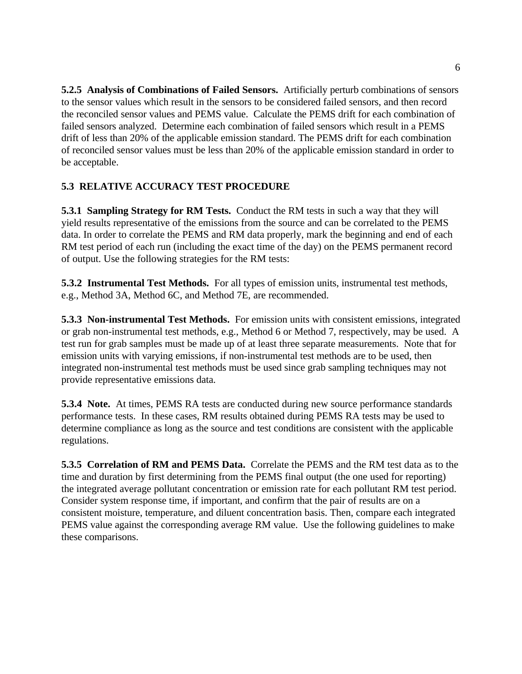**5.2.5 Analysis of Combinations of Failed Sensors.** Artificially perturb combinations of sensors to the sensor values which result in the sensors to be considered failed sensors, and then record the reconciled sensor values and PEMS value. Calculate the PEMS drift for each combination of failed sensors analyzed. Determine each combination of failed sensors which result in a PEMS drift of less than 20% of the applicable emission standard. The PEMS drift for each combination of reconciled sensor values must be less than 20% of the applicable emission standard in order to be acceptable.

# **5.3 RELATIVE ACCURACY TEST PROCEDURE**

**5.3.1 Sampling Strategy for RM Tests.** Conduct the RM tests in such a way that they will yield results representative of the emissions from the source and can be correlated to the PEMS data. In order to correlate the PEMS and RM data properly, mark the beginning and end of each RM test period of each run (including the exact time of the day) on the PEMS permanent record of output. Use the following strategies for the RM tests:

**5.3.2 Instrumental Test Methods.** For all types of emission units, instrumental test methods, e.g., Method 3A, Method 6C, and Method 7E, are recommended.

**5.3.3 Non-instrumental Test Methods.** For emission units with consistent emissions, integrated or grab non-instrumental test methods, e.g., Method 6 or Method 7, respectively, may be used. A test run for grab samples must be made up of at least three separate measurements. Note that for emission units with varying emissions, if non-instrumental test methods are to be used, then integrated non-instrumental test methods must be used since grab sampling techniques may not provide representative emissions data.

**5.3.4 Note.** At times, PEMS RA tests are conducted during new source performance standards performance tests. In these cases, RM results obtained during PEMS RA tests may be used to determine compliance as long as the source and test conditions are consistent with the applicable regulations.

**5.3.5 Correlation of RM and PEMS Data.** Correlate the PEMS and the RM test data as to the time and duration by first determining from the PEMS final output (the one used for reporting) the integrated average pollutant concentration or emission rate for each pollutant RM test period. Consider system response time, if important, and confirm that the pair of results are on a consistent moisture, temperature, and diluent concentration basis. Then, compare each integrated PEMS value against the corresponding average RM value. Use the following guidelines to make these comparisons.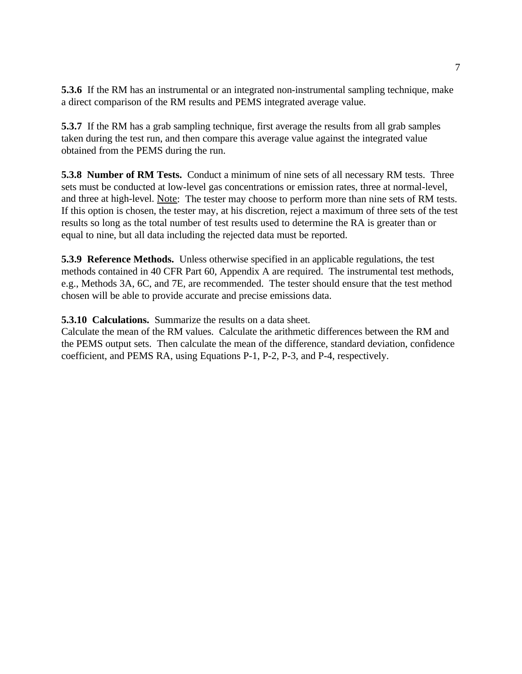**5.3.6** If the RM has an instrumental or an integrated non-instrumental sampling technique, make a direct comparison of the RM results and PEMS integrated average value.

**5.3.7** If the RM has a grab sampling technique, first average the results from all grab samples taken during the test run, and then compare this average value against the integrated value obtained from the PEMS during the run.

**5.3.8 Number of RM Tests.** Conduct a minimum of nine sets of all necessary RM tests. Three sets must be conducted at low-level gas concentrations or emission rates, three at normal-level, and three at high-level. Note: The tester may choose to perform more than nine sets of RM tests. If this option is chosen, the tester may, at his discretion, reject a maximum of three sets of the test results so long as the total number of test results used to determine the RA is greater than or equal to nine, but all data including the rejected data must be reported.

**5.3.9 Reference Methods.** Unless otherwise specified in an applicable regulations, the test methods contained in 40 CFR Part 60, Appendix A are required. The instrumental test methods, e.g., Methods 3A, 6C, and 7E, are recommended. The tester should ensure that the test method chosen will be able to provide accurate and precise emissions data.

**5.3.10 Calculations.** Summarize the results on a data sheet.

Calculate the mean of the RM values. Calculate the arithmetic differences between the RM and the PEMS output sets. Then calculate the mean of the difference, standard deviation, confidence coefficient, and PEMS RA, using Equations P-1, P-2, P-3, and P-4, respectively.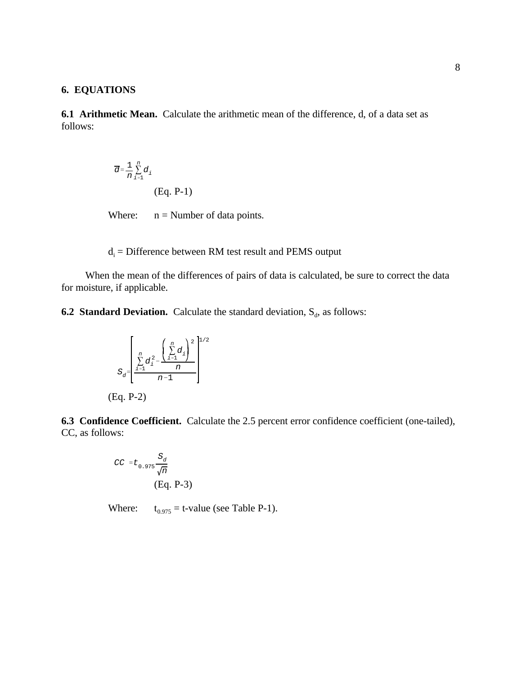#### **6. EQUATIONS**

**6.1 Arithmetic Mean.** Calculate the arithmetic mean of the difference, d, of a data set as follows:

$$
\overline{d} = \frac{1}{n} \sum_{i=1}^{n} d_i
$$
\n(Eq. P-1)

Where:  $n =$  Number of data points.

# $d_i$  = Difference between RM test result and PEMS output

When the mean of the differences of pairs of data is calculated, be sure to correct the data for moisture, if applicable.

**6.2 Standard Deviation.** Calculate the standard deviation,  $S_d$ , as follows:

$$
S_d = \left[\frac{\sum_{i=1}^{n} d_i^2 - \left(\sum_{i=1}^{n} d_i\right)^2}{\frac{\sum_{i=1}^{n} d_i}{n}}\right]^{1/2}
$$

(Eq. P-2)

**6.3 Confidence Coefficient.** Calculate the 2.5 percent error confidence coefficient (one-tailed), CC, as follows:

$$
CC = t_{0.975} \frac{S_d}{\sqrt{n}}
$$
  
(Eq. P-3)

Where:  $t_{0.975} = t$ -value (see Table P-1).